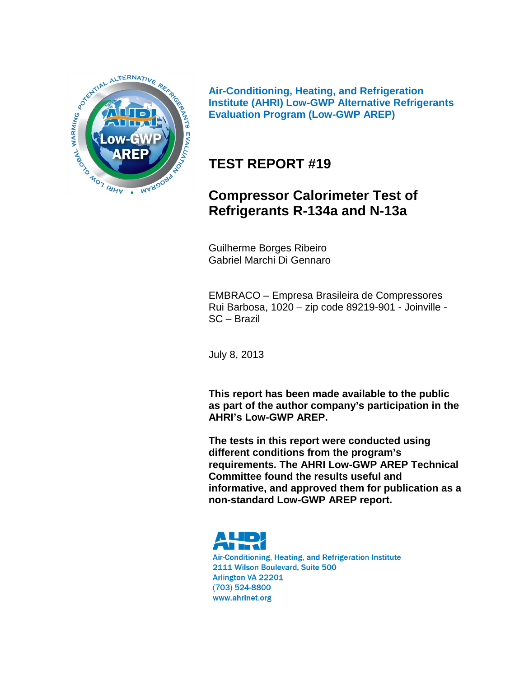

**Air-Conditioning, Heating, and Refrigeration Institute (AHRI) Low-GWP Alternative Refrigerants Evaluation Program (Low-GWP AREP)**

# **TEST REPORT #19**

# **Compressor Calorimeter Test of Refrigerants R-134a and N-13a**

Guilherme Borges Ribeiro Gabriel Marchi Di Gennaro

EMBRACO – Empresa Brasileira de Compressores Rui Barbosa, 1020 – zip code 89219-901 - Joinville - SC – Brazil

July 8, 2013

**This report has been made available to the public as part of the author company's participation in the AHRI's Low-GWP AREP.**

**The tests in this report were conducted using different conditions from the program's requirements. The AHRI Low-GWP AREP Technical Committee found the results useful and informative, and approved them for publication as a non-standard Low-GWP AREP report.** 



Air-Conditioning, Heating, and Refrigeration Institute 2111 Wilson Boulevard, Suite 500 Arlington VA 22201 (703) 524-8800 www.ahrinet.org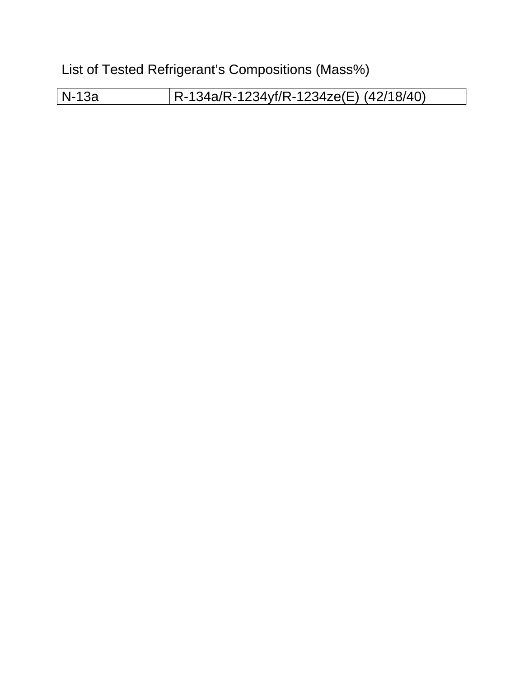List of Tested Refrigerant's Compositions (Mass%)

N-13a R-134a/R-1234yf/R-1234ze(E) (42/18/40)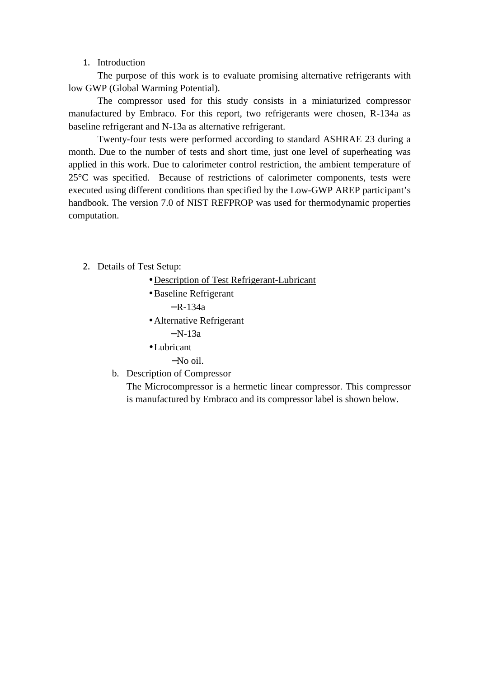#### 1. Introduction

The purpose of this work is to evaluate promising alternative refrigerants with low GWP (Global Warming Potential).

The compressor used for this study consists in a miniaturized compressor manufactured by Embraco. For this report, two refrigerants were chosen, R-134a as baseline refrigerant and N-13a as alternative refrigerant.

Twenty-four tests were performed according to standard ASHRAE 23 during a month. Due to the number of tests and short time, just one level of superheating was applied in this work. Due to calorimeter control restriction, the ambient temperature of 25°C was specified. Because of restrictions of calorimeter components, tests were executed using different conditions than specified by the Low-GWP AREP participant's handbook. The version 7.0 of NIST REFPROP was used for thermodynamic properties computation.

- 2. Details of Test Setup:
	- Description of Test Refrigerant-Lubricant
	- •Baseline Refrigerant

 $- R - 134a$ 

- Alternative Refrigerant
	- $N-13a$
- •Lubricant
	- −No oil.
- b. Description of Compressor

The Microcompressor is a hermetic linear compressor. This compressor is manufactured by Embraco and its compressor label is shown below.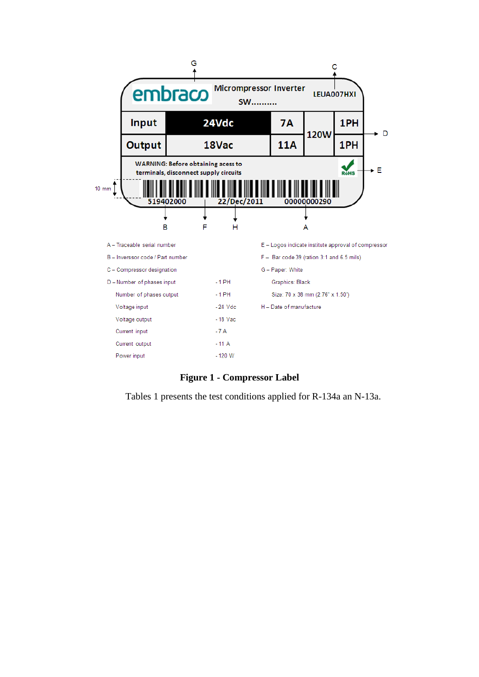

**Figure 1 - Compressor Label** 

Tables 1 presents the test conditions applied for R-134a an N-13a.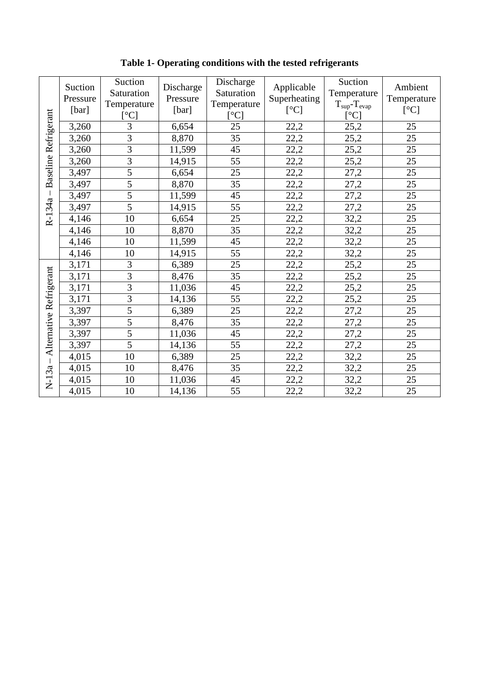| <b>Baseline Refrigerant</b> | Suction<br>Pressure<br>[bar] | Suction<br>Saturation<br>Temperature<br>[°C] | Discharge<br>Pressure<br>[bar] | Discharge<br>Saturation<br>Temperature<br>[°C] | Applicable<br>Superheating<br>[°C] | Suction<br>Temperature<br>$T_{\rm sup}$ - $T_{\rm evap}$<br>[°C] | Ambient<br>Temperature<br>[°C] |
|-----------------------------|------------------------------|----------------------------------------------|--------------------------------|------------------------------------------------|------------------------------------|------------------------------------------------------------------|--------------------------------|
|                             | 3,260                        | 3                                            | 6,654                          | 25                                             | 22,2                               | 25,2                                                             | 25                             |
|                             | 3,260                        | $\overline{3}$                               | 8,870                          | 35                                             | 22,2                               | 25,2                                                             | 25                             |
|                             | 3,260                        | $\overline{3}$                               | 11,599                         | 45                                             | 22,2                               | 25,2                                                             | 25                             |
|                             | 3,260                        | $\overline{3}$                               | 14,915                         | 55                                             | 22,2                               | 25,2                                                             | 25                             |
|                             | 3,497                        | $\overline{5}$                               | 6,654                          | 25                                             | 22,2                               | 27,2                                                             | 25                             |
|                             | 3,497                        | $\overline{5}$                               | 8,870                          | 35                                             | 22,2                               | 27,2                                                             | 25                             |
|                             | 3,497                        | $\overline{5}$                               | 11,599                         | 45                                             | 22,2                               | 27,2                                                             | 25                             |
| R-134a                      | 3,497                        | 5                                            | 14,915                         | 55                                             | 22,2                               | 27,2                                                             | 25                             |
|                             | 4,146                        | 10                                           | 6,654                          | 25                                             | 22,2                               | 32,2                                                             | 25                             |
|                             | 4,146                        | 10                                           | 8,870                          | 35                                             | 22,2                               | 32,2                                                             | 25                             |
|                             | 4,146                        | 10                                           | 11,599                         | 45                                             | 22,2                               | 32,2                                                             | 25                             |
|                             | 4,146                        | 10                                           | 14,915                         | 55                                             | 22,2                               | 32,2                                                             | 25                             |
|                             | 3,171                        | 3                                            | 6,389                          | 25                                             | 22,2                               | 25,2                                                             | 25                             |
| Alternative Refrigerant     | 3,171                        | $\overline{3}$                               | 8,476                          | 35                                             | 22,2                               | 25,2                                                             | 25                             |
|                             | 3,171                        | $\overline{3}$                               | 11,036                         | 45                                             | 22,2                               | 25,2                                                             | 25                             |
|                             | 3,171                        | $\overline{3}$                               | 14,136                         | 55                                             | 22,2                               | 25,2                                                             | 25                             |
|                             | 3,397                        | $\overline{5}$                               | 6,389                          | 25                                             | 22,2                               | 27,2                                                             | 25                             |
|                             | 3,397                        | $\overline{5}$                               | 8,476                          | 35                                             | 22,2                               | 27,2                                                             | 25                             |
|                             | 3,397                        | 5                                            | 11,036                         | 45                                             | 22,2                               | 27,2                                                             | 25                             |
|                             | 3,397                        | 5                                            | 14,136                         | 55                                             | 22,2                               | 27,2                                                             | 25                             |
| $\overline{1}$              | 4,015                        | 10                                           | 6,389                          | 25                                             | 22,2                               | 32,2                                                             | 25                             |
|                             | 4,015                        | 10                                           | 8,476                          | 35                                             | 22,2                               | 32,2                                                             | 25                             |
| $N-13a$                     | 4,015                        | 10                                           | 11,036                         | 45                                             | 22,2                               | 32,2                                                             | 25                             |
|                             | 4,015                        | 10                                           | 14,136                         | 55                                             | 22,2                               | 32,2                                                             | 25                             |

**Table 1- Operating conditions with the tested refrigerants**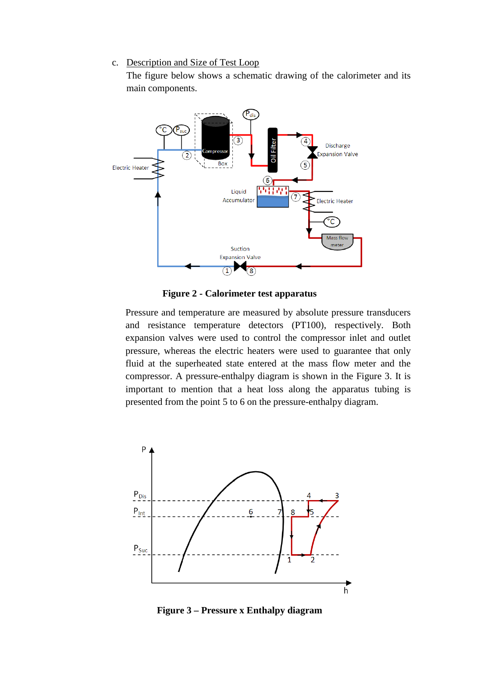#### c. Description and Size of Test Loop

The figure below shows a schematic drawing of the calorimeter and its main components.



**Figure 2 - Calorimeter test apparatus** 

Pressure and temperature are measured by absolute pressure transducers and resistance temperature detectors (PT100), respectively. Both expansion valves were used to control the compressor inlet and outlet pressure, whereas the electric heaters were used to guarantee that only fluid at the superheated state entered at the mass flow meter and the compressor. A pressure-enthalpy diagram is shown in the Figure 3. It is important to mention that a heat loss along the apparatus tubing is presented from the point 5 to 6 on the pressure-enthalpy diagram.



**Figure 3 – Pressure x Enthalpy diagram**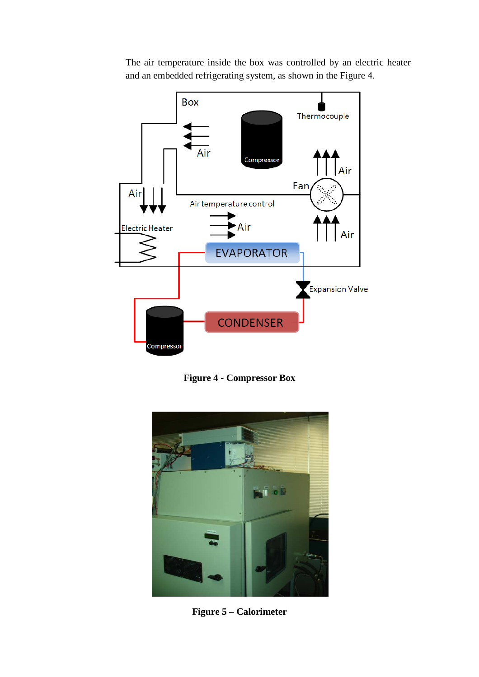

The air temperature inside the box was controlled by an electric heater and an embedded refrigerating system, as shown in the Figure 4.

**Figure 4 - Compressor Box** 



**Figure 5 – Calorimeter**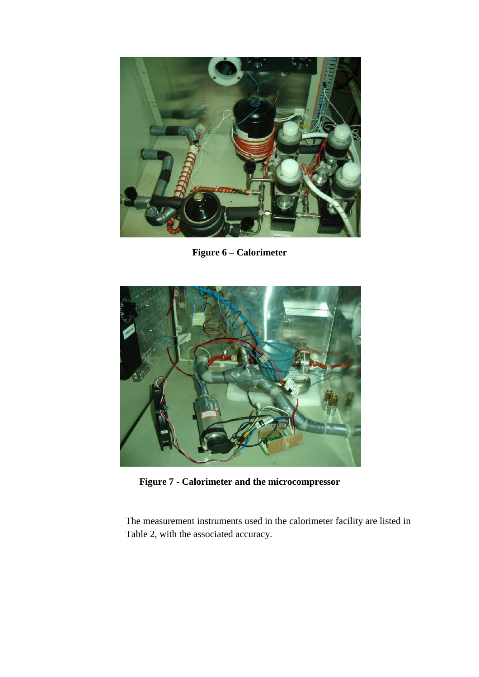

**Figure 6 – Calorimeter** 



**Figure 7 - Calorimeter and the microcompressor** 

The measurement instruments used in the calorimeter facility are listed in Table 2, with the associated accuracy.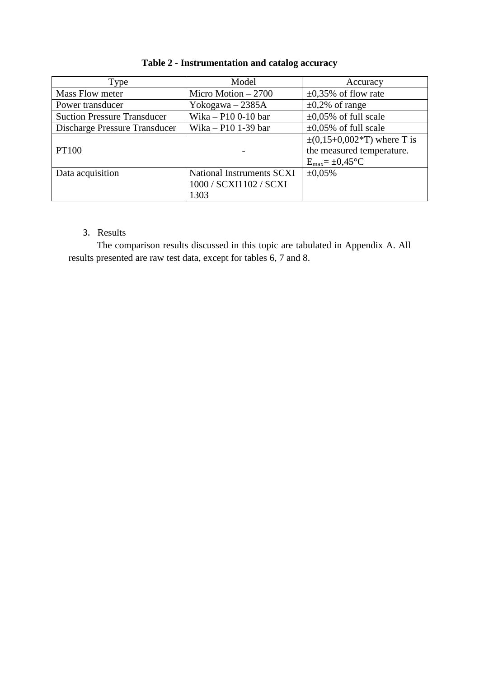| Type                               | Model                     | Accuracy                                 |
|------------------------------------|---------------------------|------------------------------------------|
| Mass Flow meter                    | Micro Motion $-2700$      | $\pm 0.35\%$ of flow rate                |
| Power transducer                   | Yokogawa $-2385A$         | $\pm 0.2\%$ of range                     |
| <b>Suction Pressure Transducer</b> | Wika - P10 0-10 bar       | $\pm 0.05\%$ of full scale               |
| Discharge Pressure Transducer      | Wika – P10 1-39 bar       | $\pm 0.05\%$ of full scale               |
|                                    |                           | $\pm (0.15 + 0.002 \times T)$ where T is |
| <b>PT100</b>                       |                           | the measured temperature.                |
|                                    |                           | $E_{max} = \pm 0.45$ °C                  |
| Data acquisition                   | National Instruments SCXI | $\pm 0.05\%$                             |
|                                    | 1000 / SCXI1102 / SCXI    |                                          |
|                                    | 1303                      |                                          |

# **Table 2 - Instrumentation and catalog accuracy**

## 3. Results

The comparison results discussed in this topic are tabulated in Appendix A. All results presented are raw test data, except for tables 6, 7 and 8.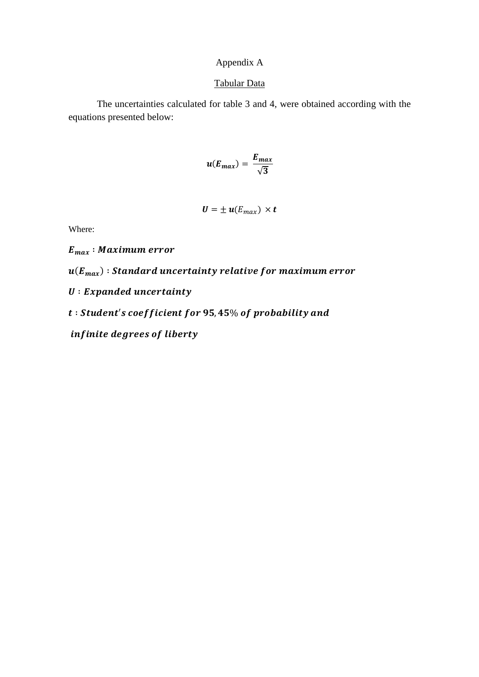## Appendix A

#### Tabular Data

The uncertainties calculated for table 3 and 4, were obtained according with the equations presented below:

$$
u(E_{max})=\frac{E_{max}}{\sqrt{3}}
$$

$$
\boldsymbol{U} = \pm \boldsymbol{u}(E_{max}) \times \boldsymbol{t}
$$

Where:

 $E_{max}$ : Maximum error

 $\bm{u}(\bm{E}_{\bm{max}})$  : Standard uncertainty relative for maximum error

 $U: Expanded$  uncertainty

 $t: Student's coefficient for 95,45\% of probability and$ 

infinite degrees of liberty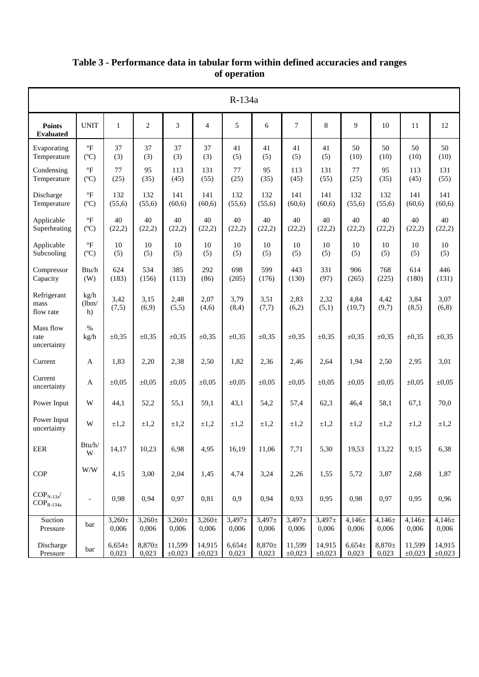|                                                              |                                       |                      |                      |                       |                      | R-134a               |                      |                       |                       |                      |                      |                       |                       |
|--------------------------------------------------------------|---------------------------------------|----------------------|----------------------|-----------------------|----------------------|----------------------|----------------------|-----------------------|-----------------------|----------------------|----------------------|-----------------------|-----------------------|
| <b>Points</b><br><b>Evaluated</b>                            | <b>UNIT</b>                           | $\mathbf{1}$         | $\overline{c}$       | 3                     | $\overline{4}$       | 5                    | 6                    | $\overline{7}$        | 8                     | 9                    | 10                   | 11                    | 12                    |
| Evaporating<br>Temperature                                   | $\circ$ F<br>$(^{\circ}C)$            | 37<br>(3)            | 37<br>(3)            | 37<br>(3)             | 37<br>(3)            | 41<br>(5)            | 41<br>(5)            | 41<br>(5)             | 41<br>(5)             | 50<br>(10)           | 50<br>(10)           | 50<br>(10)            | 50<br>(10)            |
| Condensing<br>Temperature                                    | $\rm ^{\circ}F$<br>$(^{\circ}C)$      | 77<br>(25)           | 95<br>(35)           | 113<br>(45)           | 131<br>(55)          | 77<br>(25)           | 95<br>(35)           | 113<br>(45)           | 131<br>(55)           | 77<br>(25)           | 95<br>(35)           | 113<br>(45)           | 131<br>(55)           |
| Discharge<br>Temperature                                     | $\mathrm{^{\circ}F}$<br>$(^{\circ}C)$ | 132<br>(55,6)        | 132<br>(55,6)        | 141<br>(60,6)         | 141<br>(60,6)        | 132<br>(55,6)        | 132<br>(55,6)        | 141<br>(60,6)         | 141<br>(60,6)         | 132<br>(55,6)        | 132<br>(55,6)        | 141<br>(60,6)         | 141<br>(60,6)         |
| Applicable<br>Superheating                                   | $\circ$ F<br>$(^{\circ}C)$            | 40<br>(22,2)         | 40<br>(22,2)         | 40<br>(22,2)          | 40<br>(22,2)         | 40<br>(22,2)         | 40<br>(22,2)         | 40<br>(22,2)          | 40<br>(22,2)          | 40<br>(22,2)         | 40<br>(22,2)         | 40<br>(22,2)          | 40<br>(22,2)          |
| Applicable<br>Subcooling                                     | $\mathrm{^{\circ}F}$<br>$(^{\circ}C)$ | 10<br>(5)            | 10<br>(5)            | 10<br>(5)             | 10<br>(5)            | 10<br>(5)            | 10<br>(5)            | 10<br>(5)             | 10<br>(5)             | 10<br>(5)            | 10<br>(5)            | 10<br>(5)             | 10<br>(5)             |
| Compressor<br>Capacity                                       | Btu/h<br>(W)                          | 624<br>(183)         | 534<br>(156)         | 385<br>(113)          | 292<br>(86)          | 698<br>(205)         | 599<br>(176)         | 443<br>(130)          | 331<br>(97)           | 906<br>(265)         | 768<br>(225)         | 614<br>(180)          | 446<br>(131)          |
| Refrigerant<br>mass<br>flow rate                             | kg/h<br>(lbm/<br>h)                   | 3,42<br>(7,5)        | 3,15<br>(6,9)        | 2,48<br>(5,5)         | 2,07<br>(4,6)        | 3,79<br>(8,4)        | 3,51<br>(7,7)        | 2,83<br>(6,2)         | 2,32<br>(5,1)         | 4,84<br>(10.7)       | 4,42<br>(9,7)        | 3,84<br>(8,5)         | 3,07<br>(6,8)         |
| Mass flow<br>rate<br>uncertainty                             | $\%$<br>kg/h                          | $\pm 0.35$           | $\pm 0.35$           | $\pm 0.35$            | $\pm 0.35$           | $\pm 0.35$           | $\pm 0.35$           | $\pm 0,35$            | $\pm 0.35$            | $\pm 0.35$           | $\pm 0.35$           | $\pm 0.35$            | $\pm 0,35$            |
| Current                                                      | A                                     | 1,83                 | 2,20                 | 2,38                  | 2,50                 | 1,82                 | 2,36                 | 2,46                  | 2,64                  | 1,94                 | 2,50                 | 2,95                  | 3,01                  |
| Current<br>uncertainty                                       | A                                     | $\pm 0.05$           | $\pm 0.05$           | $\pm 0.05$            | $\pm 0.05$           | $\pm 0.05$           | $\pm 0.05$           | $\pm 0.05$            | $\pm 0.05$            | $\pm 0.05$           | $\pm 0.05$           | $\pm 0.05$            | $\pm 0.05$            |
| Power Input                                                  | W                                     | 44,1                 | 52,2                 | 55,1                  | 59,1                 | 43,1                 | 54,2                 | 57,4                  | 62,3                  | 46,4                 | 58,1                 | 67,1                  | 70,0                  |
| Power Input<br>uncertainty                                   | W                                     | $\pm 1,2$            | $\pm 1,2$            | $\pm 1,2$             | $\pm 1,2$            | $\pm 1,2$            | $\pm 1,2$            | $\pm 1,2$             | $\pm 1,2$             | $\pm 1.2$            | $\pm 1,2$            | $\pm 1,2$             | $\pm 1,2$             |
| EER                                                          | Btu/h/<br>W                           | 14,17                | 10,23                | 6,98                  | 4,95                 | 16,19                | 11,06                | 7,71                  | 5,30                  | 19,53                | 13,22                | 9,15                  | 6,38                  |
| COP                                                          | $\mathbf{W}/\mathbf{W}$               | 4,15                 | 3,00                 | 2,04                  | 1,45                 | 4,74                 | 3,24                 | 2,26                  | 1,55                  | 5,72                 | 3,87                 | 2,68                  | 1,87                  |
| $\text{COP}_\text{N-13a}\!/$<br>$\text{COP}_{\text{R-134a}}$ | $\overline{\phantom{a}}$              | 0,98                 | 0,94                 | 0,97                  | 0,81                 | 0,9                  | 0,94                 | 0,93                  | 0,95                  | 0,98                 | 0,97                 | 0,95                  | 0,96                  |
| Suction<br>Pressure                                          | bar                                   | $3,260 \pm$<br>0,006 | $3,260 \pm$<br>0,006 | $3,260 \pm$<br>0,006  | $3,260 \pm$<br>0,006 | $3,497 \pm$<br>0,006 | $3,497 \pm$<br>0,006 | $3,497 \pm$<br>0,006  | $3,497 \pm$<br>0,006  | $4,146 \pm$<br>0,006 | $4,146 \pm$<br>0,006 | $4,146 \pm$<br>0,006  | $4,146\pm$<br>0,006   |
| Discharge<br>Pressure                                        | bar                                   | $6,654\pm$<br>0,023  | $8,870\pm$<br>0,023  | 11,599<br>$\pm 0,023$ | 14,915<br>±0,023     | $6,654\pm$<br>0,023  | $8,870\pm$<br>0,023  | 11,599<br>$\pm 0,023$ | 14,915<br>$\pm 0,023$ | $6,654\pm$<br>0,023  | $8,870 \pm$<br>0,023 | 11,599<br>$\pm 0,023$ | 14,915<br>$\pm 0,023$ |

## **Table 3 - Performance data in tabular form within defined accuracies and ranges of operation**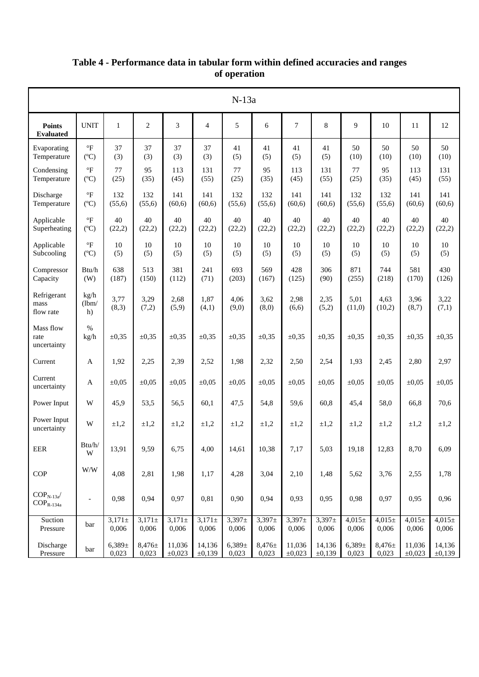|                                            |                                       |                      |                      |                      |                      | $N-13a$             |                      |                      |                     |                      |                      |                       |                      |
|--------------------------------------------|---------------------------------------|----------------------|----------------------|----------------------|----------------------|---------------------|----------------------|----------------------|---------------------|----------------------|----------------------|-----------------------|----------------------|
| <b>Points</b><br><b>Evaluated</b>          | <b>UNIT</b>                           | $\mathbf{1}$         | $\overline{c}$       | 3                    | $\overline{4}$       | 5                   | 6                    | $\overline{7}$       | 8                   | $\mathbf Q$          | 10                   | 11                    | 12                   |
| Evaporating<br>Temperature                 | $\circ$ F<br>$(^{\circ}C)$            | 37<br>(3)            | 37<br>(3)            | 37<br>(3)            | 37<br>(3)            | 41<br>(5)           | 41<br>(5)            | 41<br>(5)            | 41<br>(5)           | 50<br>(10)           | 50<br>(10)           | 50<br>(10)            | 50<br>(10)           |
| Condensing<br>Temperature                  | $\mathrm{^{\circ}F}$<br>$(^{\circ}C)$ | 77<br>(25)           | 95<br>(35)           | 113<br>(45)          | 131<br>(55)          | 77<br>(25)          | 95<br>(35)           | 113<br>(45)          | 131<br>(55)         | 77<br>(25)           | 95<br>(35)           | 113<br>(45)           | 131<br>(55)          |
| Discharge<br>Temperature                   | $\mathrm{^{\circ}F}$<br>$(^{\circ}C)$ | 132<br>(55,6)        | 132<br>(55,6)        | 141<br>(60,6)        | 141<br>(60,6)        | 132<br>(55,6)       | 132<br>(55,6)        | 141<br>(60,6)        | 141<br>(60,6)       | 132<br>(55,6)        | 132<br>(55,6)        | 141<br>(60,6)         | 141<br>(60,6)        |
| Applicable<br>Superheating                 | $\rm ^{\circ}F$<br>$(^{\circ}C)$      | 40<br>(22,2)         | 40<br>(22,2)         | 40<br>(22,2)         | 40<br>(22,2)         | 40<br>(22,2)        | 40<br>(22,2)         | 40<br>(22,2)         | 40<br>(22,2)        | 40<br>(22,2)         | 40<br>(22,2)         | 40<br>(22,2)          | 40<br>(22,2)         |
| Applicable<br>Subcooling                   | $\mathrm{^{\circ}F}$<br>$(^{\circ}C)$ | 10<br>(5)            | 10<br>(5)            | 10<br>(5)            | 10<br>(5)            | 10<br>(5)           | 10<br>(5)            | 10<br>(5)            | 10<br>(5)           | 10<br>(5)            | 10<br>(5)            | 10<br>(5)             | 10<br>(5)            |
| Compressor<br>Capacity                     | Btu/h<br>(W)                          | 638<br>(187)         | 513<br>(150)         | 381<br>(112)         | 241<br>(71)          | 693<br>(203)        | 569<br>(167)         | 428<br>(125)         | 306<br>(90)         | 871<br>(255)         | 744<br>(218)         | 581<br>(170)          | 430<br>(126)         |
| Refrigerant<br>mass<br>flow rate           | kg/h<br>(lbm/<br>h)                   | 3,77<br>(8,3)        | 3,29<br>(7,2)        | 2,68<br>(5,9)        | 1,87<br>(4,1)        | 4,06<br>(9,0)       | 3,62<br>(8,0)        | 2,98<br>(6,6)        | 2,35<br>(5,2)       | 5,01<br>(11,0)       | 4,63<br>(10,2)       | 3,96<br>(8,7)         | 3,22<br>(7,1)        |
| Mass flow<br>rate<br>uncertainty           | $\%$<br>kg/h                          | $\pm 0.35$           | $\pm 0.35$           | $\pm 0.35$           | $\pm 0.35$           | $\pm 0.35$          | $\pm 0.35$           | $\pm 0.35$           | $\pm 0,35$          | $\pm 0,35$           | $\pm 0.35$           | $\pm 0,35$            | $\pm 0,35$           |
| Current                                    | A                                     | 1,92                 | 2,25                 | 2,39                 | 2,52                 | 1,98                | 2,32                 | 2,50                 | 2,54                | 1,93                 | 2,45                 | 2,80                  | 2,97                 |
| Current<br>uncertainty                     | A                                     | $\pm 0.05$           | $\pm 0.05$           | $\pm 0.05$           | $\pm 0.05$           | $\pm 0.05$          | $\pm 0.05$           | $\pm 0.05$           | $\pm 0.05$          | $\pm 0.05$           | $\pm 0.05$           | $\pm 0.05$            | $\pm 0.05$           |
| Power Input                                | W                                     | 45,9                 | 53,5                 | 56,5                 | 60,1                 | 47,5                | 54,8                 | 59,6                 | 60,8                | 45,4                 | 58,0                 | 66,8                  | 70,6                 |
| Power Input<br>uncertainty                 | W                                     | $\pm 1.2$            | $\pm 1.2$            | $\pm 1,2$            | $\pm 1.2$            | $\pm 1,2$           | $\pm 1,2$            | $\pm 1.2$            | $\pm 1.2$           | $\pm 1.2$            | $\pm 1,2$            | $\pm 1.2$             | $\pm 1,2$            |
| EER                                        | Btu/h/<br>W                           | 13,91                | 9,59                 | 6,75                 | 4,00                 | 14,61               | 10,38                | 7,17                 | 5,03                | 19,18                | 12,83                | 8,70                  | 6,09                 |
| COP                                        | $\mathbf{W}/\mathbf{W}$               | 4,08                 | 2,81                 | 1,98                 | 1,17                 | 4,28                | 3,04                 | 2,10                 | 1,48                | 5,62                 | 3,76                 | 2,55                  | 1,78                 |
| $COPN-13a$<br>$\text{COP}_{\text{R-134a}}$ | $\overline{\phantom{a}}$              | 0,98                 | 0,94                 | 0,97                 | 0,81                 | 0,90                | 0,94                 | 0,93                 | 0,95                | 0,98                 | 0,97                 | 0,95                  | 0,96                 |
| Suction<br>Pressure                        | bar                                   | $3,171 \pm$<br>0,006 | $3,171 \pm$<br>0,006 | $3,171 \pm$<br>0,006 | $3,171 \pm$<br>0,006 | $3,397\pm$<br>0,006 | $3,397\pm$<br>0,006  | $3,397 \pm$<br>0,006 | $3,397\pm$<br>0,006 | $4,015 \pm$<br>0,006 | $4,015 \pm$<br>0,006 | $4,015 \pm$<br>0,006  | $4,015 \pm$<br>0,006 |
| Discharge<br>Pressure                      | bar                                   | $6,389\pm$<br>0,023  | 8,476±<br>0,023      | 11,036<br>±0,023     | 14,136<br>±0,139     | $6,389\pm$<br>0,023 | $8,476 \pm$<br>0,023 | 11,036<br>±0,023     | 14,136<br>±0,139    | $6,389\pm$<br>0,023  | $8,476 \pm$<br>0,023 | 11,036<br>$\pm 0,023$ | 14,136<br>±0,139     |

## **Table 4 - Performance data in tabular form within defined accuracies and ranges of operation**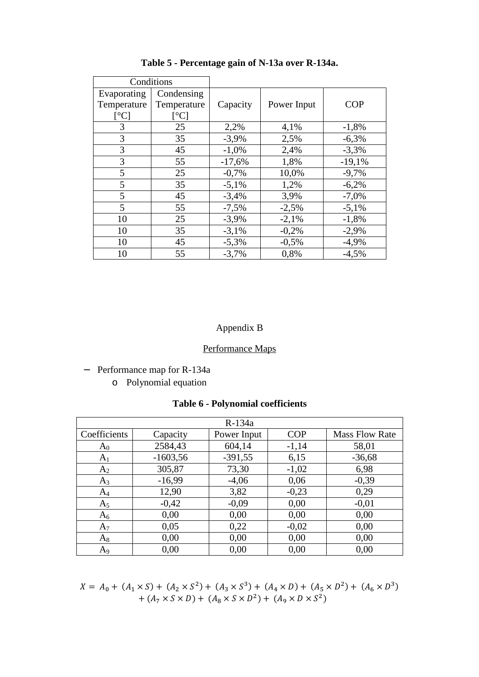| Conditions                 |                           |          |             |            |
|----------------------------|---------------------------|----------|-------------|------------|
| Evaporating<br>Temperature | Condensing<br>Temperature | Capacity | Power Input | <b>COP</b> |
| $\lceil$ <sup>o</sup> C]   | $\rm ^{\circ}C$ ]         |          |             |            |
| 3                          | 25                        | 2,2%     | 4,1%        | $-1,8%$    |
| 3                          | 35                        | $-3,9%$  | 2,5%        | $-6,3%$    |
| 3                          | 45                        | $-1,0%$  | 2,4%        | $-3,3%$    |
| 3                          | 55                        | $-17,6%$ | 1,8%        | $-19,1%$   |
| 5                          | 25                        | $-0,7%$  | 10,0%       | $-9,7%$    |
| 5                          | 35                        | $-5,1%$  | 1,2%        | $-6,2%$    |
| 5                          | 45                        | $-3,4%$  | 3,9%        | $-7,0%$    |
| 5                          | 55                        | $-7,5%$  | $-2,5%$     | $-5,1%$    |
| 10                         | 25                        | $-3,9%$  | $-2,1%$     | $-1,8%$    |
| 10                         | 35                        | $-3,1%$  | $-0,2%$     | $-2,9%$    |
| 10                         | 45                        | $-5,3%$  | $-0,5%$     | $-4,9%$    |
| 10                         | 55                        | $-3,7%$  | 0,8%        | $-4.5%$    |

**Table 5 - Percentage gain of N-13a over R-134a.** 

# Appendix B

# Performance Maps

- − Performance map for R-134a
	- o Polynomial equation

|  | <b>Table 6 - Polynomial coefficients</b> |  |
|--|------------------------------------------|--|
|--|------------------------------------------|--|

|                |            | $R-134a$    |            |                       |
|----------------|------------|-------------|------------|-----------------------|
| Coefficients   | Capacity   | Power Input | <b>COP</b> | <b>Mass Flow Rate</b> |
| $A_0$          | 2584,43    | 604,14      | $-1,14$    | 58,01                 |
| A <sub>1</sub> | $-1603,56$ | $-391,55$   | 6,15       | $-36,68$              |
| A <sub>2</sub> | 305,87     | 73,30       | $-1,02$    | 6,98                  |
| $A_3$          | $-16,99$   | $-4,06$     | 0,06       | $-0,39$               |
| $A_4$          | 12,90      | 3,82        | $-0,23$    | 0,29                  |
| A <sub>5</sub> | $-0,42$    | $-0,09$     | 0,00       | $-0,01$               |
| $A_6$          | 0,00       | 0,00        | 0,00       | 0,00                  |
| $A_7$          | 0,05       | 0,22        | $-0,02$    | 0,00                  |
| $A_8$          | 0,00       | 0,00        | 0,00       | 0,00                  |
| A <sub>9</sub> | 0.00       | 0.00        | 0.00       | 0.00                  |

$$
X = A_0 + (A_1 \times S) + (A_2 \times S^2) + (A_3 \times S^3) + (A_4 \times D) + (A_5 \times D^2) + (A_6 \times D^3) + (A_7 \times S \times D) + (A_8 \times S \times D^2) + (A_9 \times D \times S^2)
$$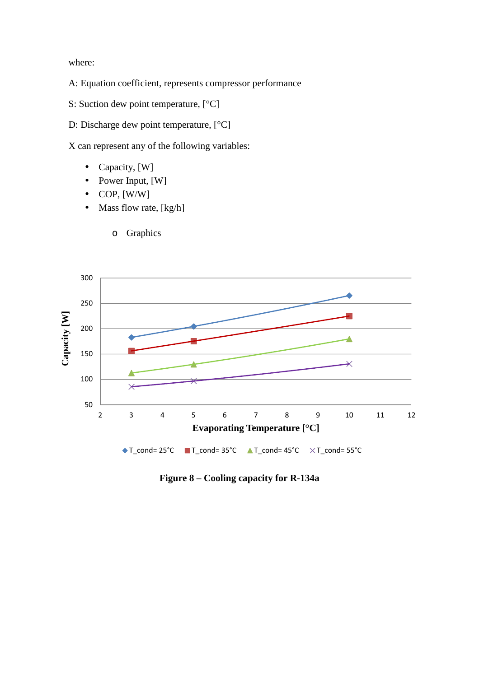where:

- A: Equation coefficient, represents compressor performance
- S: Suction dew point temperature,  $[°C]$
- D: Discharge dew point temperature, [°C]

X can represent any of the following variables:

- Capacity, [W]
- Power Input, [W]
- $\bullet$  COP, [W/W]
- Mass flow rate, [kg/h]



**Figure 8 – Cooling capacity for R-134a** 

o Graphics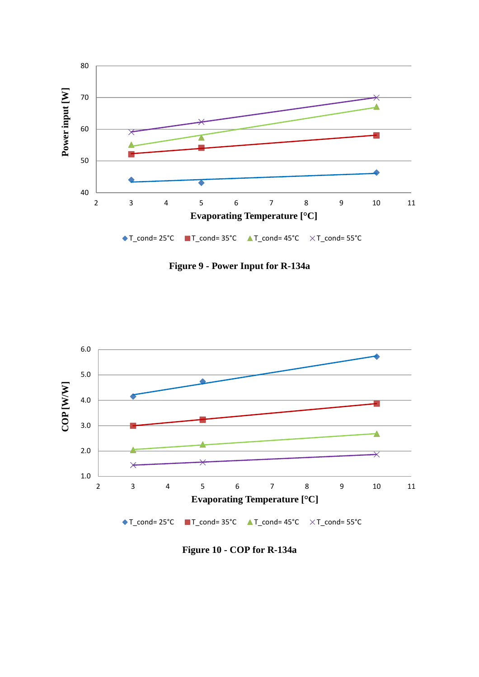

**Figure 9 - Power Input for R-134a** 



**Figure 10 - COP for R-134a**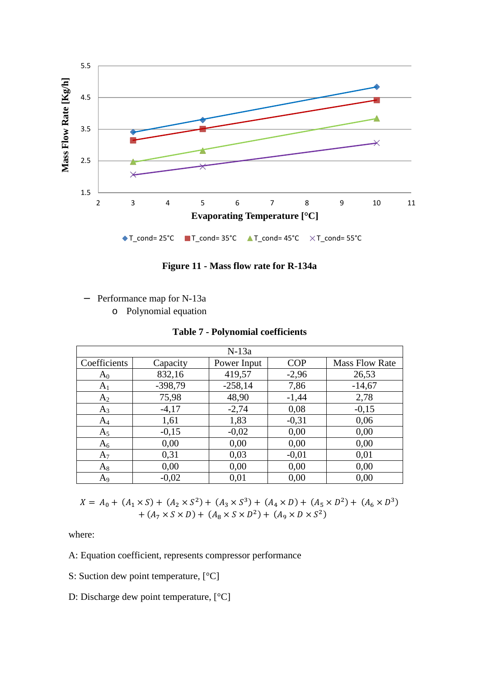

**Figure 11 - Mass flow rate for R-134a** 

- − Performance map for N-13a
	- o Polynomial equation

|  |  | <b>Table 7 - Polynomial coefficients</b> |
|--|--|------------------------------------------|
|  |  |                                          |

|                |           | $N-13a$     |            |                       |
|----------------|-----------|-------------|------------|-----------------------|
| Coefficients   | Capacity  | Power Input | <b>COP</b> | <b>Mass Flow Rate</b> |
| $A_0$          | 832,16    | 419,57      | $-2,96$    | 26,53                 |
| $A_1$          | $-398,79$ | $-258,14$   | 7,86       | $-14,67$              |
| A <sub>2</sub> | 75,98     | 48,90       | $-1,44$    | 2,78                  |
| $A_3$          | $-4,17$   | $-2,74$     | 0,08       | $-0,15$               |
| $A_4$          | 1,61      | 1,83        | $-0,31$    | 0,06                  |
| A <sub>5</sub> | $-0,15$   | $-0,02$     | 0,00       | 0,00                  |
| $A_6$          | 0,00      | 0,00        | 0,00       | 0,00                  |
| $A_7$          | 0,31      | 0,03        | $-0.01$    | 0,01                  |
| $A_8$          | 0,00      | 0,00        | 0,00       | 0,00                  |
| $A_9$          | $-0,02$   | 0,01        | 0,00       | 0,00                  |

$$
X = A_0 + (A_1 \times S) + (A_2 \times S^2) + (A_3 \times S^3) + (A_4 \times D) + (A_5 \times D^2) + (A_6 \times D^3) + (A_7 \times S \times D) + (A_8 \times S \times D^2) + (A_9 \times D \times S^2)
$$

where:

A: Equation coefficient, represents compressor performance

- S: Suction dew point temperature, [°C]
- D: Discharge dew point temperature,  $[°C]$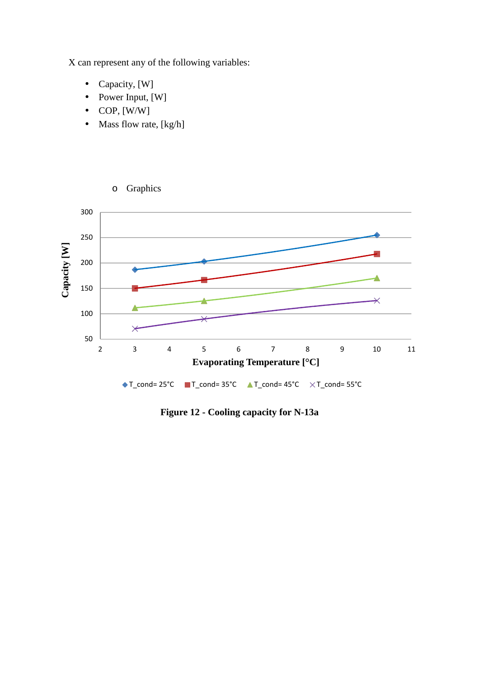X can represent any of the following variables:

- Capacity, [W]
- Power Input, [W]
- $\bullet$  COP, [W/W]
- Mass flow rate, [kg/h]



**Figure 12 - Cooling capacity for N-13a**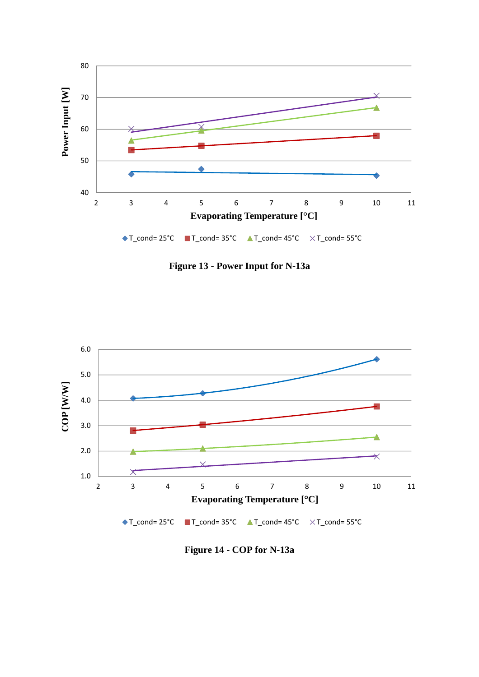

**Figure 13 - Power Input for N-13a** 



**Figure 14 - COP for N-13a**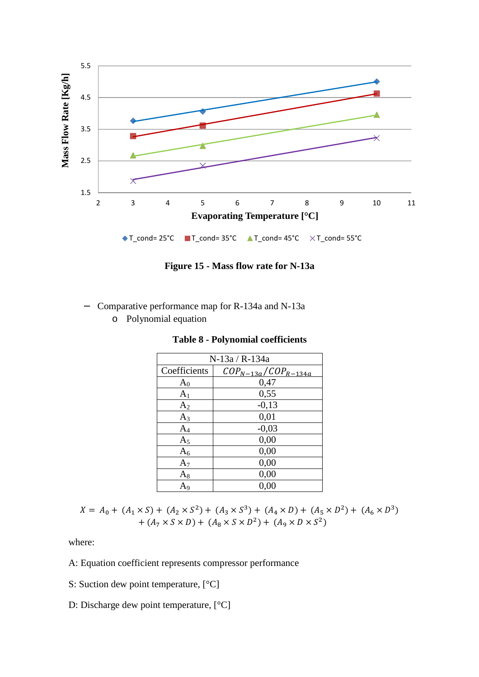

**Figure 15 - Mass flow rate for N-13a** 

- − Comparative performance map for R-134a and N-13a
	- o Polynomial equation

| N-13a / R-134a |                            |  |  |  |  |  |
|----------------|----------------------------|--|--|--|--|--|
| Coefficients   | $COP_{N-13a}/COP_{R-134a}$ |  |  |  |  |  |
| $A_0$          | 0,47                       |  |  |  |  |  |
| A <sub>1</sub> | 0,55                       |  |  |  |  |  |
| A <sub>2</sub> | $-0,13$                    |  |  |  |  |  |
| $A_3$          | 0,01                       |  |  |  |  |  |
| $A_4$          | $-0,03$                    |  |  |  |  |  |
| A <sub>5</sub> | 0,00                       |  |  |  |  |  |
| $A_6$          | 0,00                       |  |  |  |  |  |
| $A_7$          | 0,00                       |  |  |  |  |  |
| $A_8$          | 0,00                       |  |  |  |  |  |
| A9             | 0,00                       |  |  |  |  |  |

**Table 8 - Polynomial coefficients** 

 $X = A_0 + (A_1 \times S) + (A_2 \times S^2) + (A_3 \times S^3) + (A_4 \times D) + (A_5 \times D^2) + (A_6 \times D^3)$  $+ (A_7 \times S \times D) + (A_8 \times S \times D^2) + (A_9 \times D \times S^2)$ 

where:

- A: Equation coefficient represents compressor performance
- S: Suction dew point temperature, [°C]
- D: Discharge dew point temperature, [°C]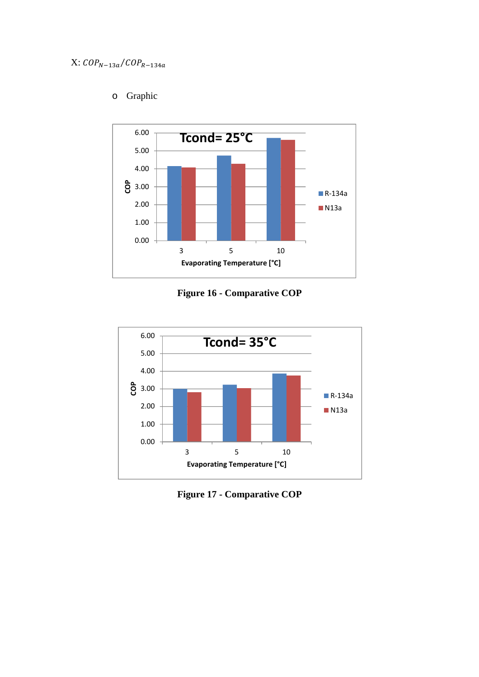

# o Graphic





**Figure 17 - Comparative COP**